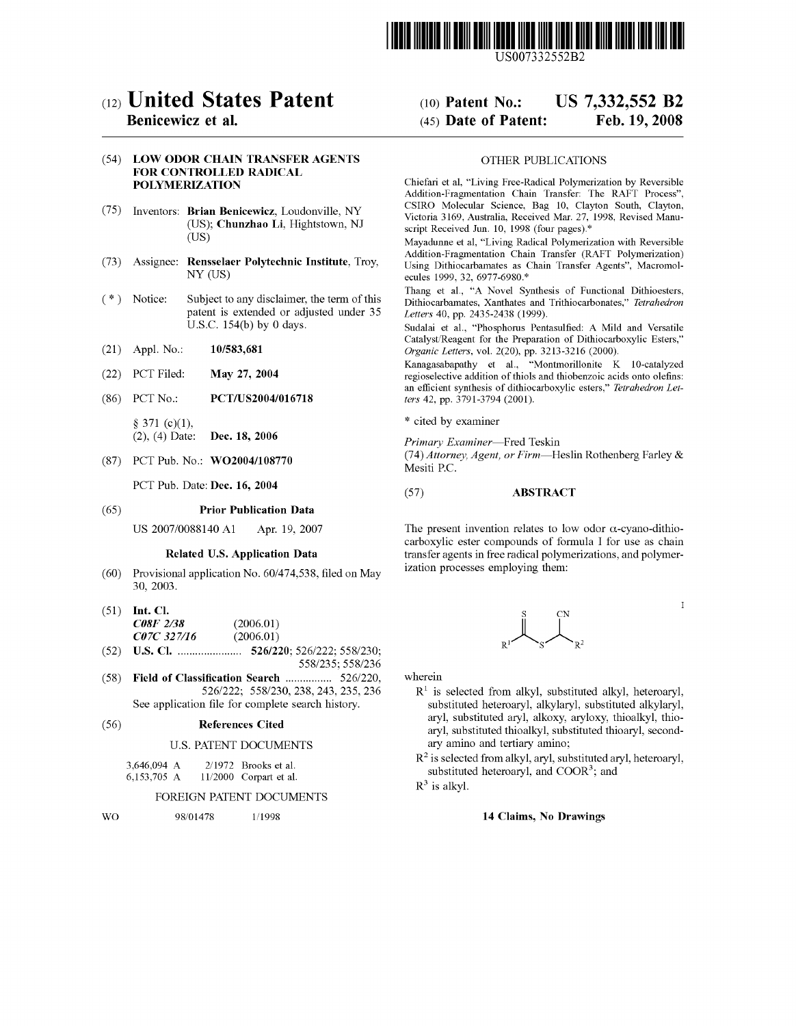

# (12) United States Patent

## Benicewicz et al.

#### (54) LOW ODOR CHAIN TRANSFER AGENTS FOR CONTROLLED RADICAL **POLYMERIZATION**

- (75) Inventors: Brian Benicewicz, Loudonville, NY (US); Chunzhao Li, Hightstown, NJ  $(US)$
- Assignee: Rensselaer Polytechnic Institute, Troy,  $(73)$ NY<sub>(US)</sub>
- Notice: Subject to any disclaimer, the term of this  $(* )$ patent is extended or adjusted under 35 U.S.C.  $154(b)$  by 0 days.
- (21) Appl. No.: 10/583,681
- (22) PCT Filed: May 27, 2004
- (86) PCT No.: PCT/US2004/016718

§ 371 (c)(1),  $(2)$ ,  $(4)$  Date: Dec. 18, 2006

(87) PCT Pub. No.: WO2004/108770

PCT Pub. Date: Dec. 16, 2004

#### $(65)$ **Prior Publication Data**

US 2007/0088140 A1 Apr. 19, 2007

#### Related U.S. Application Data

 $(60)$ Provisional application No. 60/474,538, filed on May 30, 2003.

| $(51)$ Int. Cl.  |           |  |
|------------------|-----------|--|
| <i>CO8F 2/38</i> | (2006.01) |  |
| C07C 327/16      | (2006.01) |  |

- $(52)$
- 558/235; 558/236 (58) Field of Classification Search ................ 526/220,
- 526/222; 558/230, 238, 243, 235, 236 See application file for complete search history.

#### $(56)$ **References Cited**

#### **U.S. PATENT DOCUMENTS**

3,646,094 A 2/1972 Brooks et al. 6,153,705 A 11/2000 Corpart et al.

#### FOREIGN PATENT DOCUMENTS

**WO** 98/01478 1/1998

#### US 7,332,552 B2  $(10)$  Patent No.: (45) Date of Patent: Feb. 19, 2008

#### OTHER PUBLICATIONS

Chiefari et al, "Living Free-Radical Polymerization by Reversible Addition-Fragmentation Chain Transfer: The RAFT Process", CSIRO Molecular Science, Bag 10, Clayton South, Clayton, Victoria 3169, Australia, Received Mar. 27, 1998, Revised Manuscript Received Jun. 10, 1998 (four pages).\*

Mayadunne et al, "Living Radical Polymerization with Reversible Addition-Fragmentation Chain Transfer (RAFT Polymerization) Using Dithiocarbamates as Chain Transfer Agents", Macromolecules 1999, 32, 6977-6980.\*

Thang et al., "A Novel Synthesis of Functional Dithioesters, Dithiocarbamates, Xanthates and Trithiocarbonates," Tetrahedron Letters 40, pp. 2435-2438 (1999).

Sudalai et al., "Phosphorus Pentasulfied: A Mild and Versatile Catalyst/Reagent for the Preparation of Dithiocarboxylic Esters," Organic Letters, vol. 2(20), pp. 3213-3216 (2000).

Kanagasabapathy et al., "Montmorillonite K 10-catalyzed regioselective addition of thiols and thiobenzoic acids onto olefins: an efficient synthesis of dithiocarboxylic esters," Tetrahedron Letters 42, pp. 3791-3794 (2001).

\* cited by examiner

Primary Examiner-Fred Teskin (74) Attorney, Agent, or Firm-Heslin Rothenberg Farley & Mesiti P.C.

#### **ABSTRACT**  $(57)$

The present invention relates to low odor  $\alpha$ -cyano-dithiocarboxylic ester compounds of formula I for use as chain transfer agents in free radical polymerizations, and polymerization processes employing them:



 $\rm I$ 

wherein

 $R<sup>1</sup>$  is selected from alkyl, substituted alkyl, heteroaryl, substituted heteroaryl, alkylaryl, substituted alkylaryl, aryl, substituted aryl, alkoxy, aryloxy, thioalkyl, thioaryl, substituted thioalkyl, substituted thioaryl, secondary amino and tertiary amino;

 $R<sup>2</sup>$  is selected from alkyl, aryl, substituted aryl, heteroaryl, substituted heteroaryl, and COOR<sup>3</sup>; and

 $R^3$  is alkyl.

#### 14 Claims, No Drawings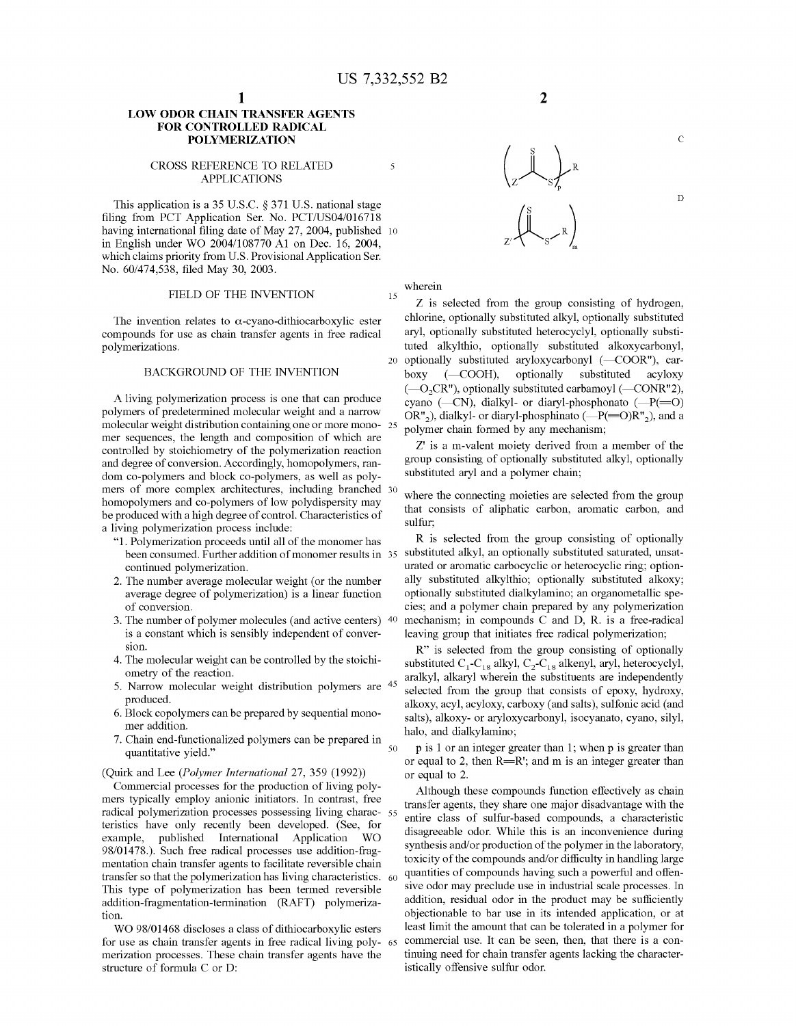$\overline{\mathcal{L}}$ 

 $15$ 

#### LOW ODOR CHAIN TRANSFER AGENTS FOR CONTROLLED RADICAL POLYMERIZATION

#### CROSS REFERENCE TO RELATED APPLICATIONS

This application is a 35 U.S.C. § 371 U.S. national stage filing from PCT Application Ser. No. PCT/US04/016718 having international filing date of May 27, 2004, published 10 in English under WO 2004/108770 A1 on Dec. 16, 2004, which claims priority from U.S. Provisional Application Ser. No. 60/474,538, filed May 30, 2003.

#### FIELD OF THE INVENTION

The invention relates to  $\alpha$ -cyano-dithiocarboxylic ester compounds for use as chain transfer agents in free radical polymerizations.

#### BACKGROUND OF THE INVENTION

A living polymerization process is one that can produce polymers of predetermined molecular weight and a narrow molecular weight distribution containing one or more mono-25 mer sequences, the length and composition of Which are controlled by stoichiometry of the polymerization reaction and degree of conversion. Accordingly, homopolymers, ran dom co-polymers and block co-polymers, as Well as poly mers of more complex architectures, including branched 30 homopolymers and co-polymers of low polydispersity may be produced With a high degree of control. Characteristics of a living polymerization process include:

- "1. Polymerization proceeds until all of the monomer has been consumed. Further addition of monomer results in 35 continued polymerization.
- 2. The number average molecular Weight (or the number average degree of polymerization) is a linear function of conversion.
- 3. The number of polymer molecules (and active centers) 40 is a constant Which is sensibly independent of conver sion.
- 4. The molecular Weight can be controlled by the stoichi ometry of the reaction.
- 5. Narrow molecular weight distribution polymers are <sup>45</sup> produced.
- 6. Block copolymers can be prepared by sequential mono mer addition.
- 7. Chain end-functionalized polymers can be prepared in 50 quantitative yield."

#### (Quirk and Lee (Polymer International 27, 359 (1992))

Commercial processes for the production of living poly mers typically employ anionic initiators. In contrast, free radical polymerization processes possessing living charac- 55 teristics have only recently been developed. (See, for example, published International Application WO 98/01478.). Such free radical processes use addition-fragmentation chain transfer agents to facilitate reversible chain transfer so that the polymerization has living characteristics. 60 This type of polymerization has been termed reversible addition-fragmentation-termination (RAFT) polymeriza tion.

WO 98/01468 discloses a class of dithiocarboxylic esters for use as chain transfer agents in free radical living poly merization processes. These chain transfer agents have the structure of formula C or D: 65





c

D

Wherein

20 optionally substituted aryloxycarbonyl (—COOR"), car-Z is selected from the group consisting of hydrogen, chlorine, optionally substituted alkyl, optionally substituted aryl, optionally substituted heterocyclyl, optionally substi tuted alkylthio, optionally substituted alkoxycarbonyl, boxy (-COOH), optionally substituted acyloxy (-O,CR"), optionally substituted carbamoyl (-CONR"2), cyano ( $-CN$ ), dialkyl- or diaryl-phosphonato ( $-P(=O)$ OR"<sub>2</sub>), dialkyl- or diaryl-phosphinato ( $-P(=O)R"_{2}$ ), and a polymer chain formed by any mechanism;

<sup>Z</sup>' is a m-valent moiety derived from a member of the group consisting of optionally substituted alkyl, optionally substituted aryl and a polymer chain;

Where the connecting moieties are selected from the group that consists of aliphatic carbon, aromatic carbon, and sulfur;

R is selected from the group consisting of optionally substituted alkyl, an optionally substituted saturated, unsat urated or aromatic carbocyclic or heterocyclic ring; option ally substituted alkylthio; optionally substituted alkoxy; optionally substituted dialkylamino; an organometallic spe cies; and a polymer chain prepared by any polymerization mechanism; in compounds C and D, R. is a free-radical leaving group that initiates free radical polymerization;

R" is selected from the group consisting of optionally substituted  $C_1-C_{18}$  alkyl,  $C_2-C_{18}$  alkenyl, aryl, heterocyclyl, aralkyl, alkaryl Wherein the substituents are independently selected from the group that consists of epoxy, hydroxy, alkoxy, acyl, acyloxy, carboxy (and salts), sulfonic acid (and salts), alkoxy- or aryloxycarbonyl, isocyanato, cyano, silyl, halo, and dialkylamino;

p is l or an integer greater than 1; When p is greater than or equal to 2, then  $R=R'$ ; and m is an integer greater than or equal to 2.

Although these compounds function effectively as chain transfer agents, they share one major disadvantage With the entire class of sulfur-based compounds, a characteristic disagreeable odor. While this is an inconvenience during synthesis and/or production of the polymer in the laboratory, toxicity of the compounds and/or difficulty in handling large quantities of compounds having such a powerful and offensive odor may preclude use in industrial scale processes. In addition, residual odor in the product may be sufficiently objectionable to bar use in its intended application, or at least limit the amount that can be tolerated in a polymer for commercial use. It can be seen, then, that there is a con tinuing need for chain transfer agents lacking the character istically offensive sulfur odor.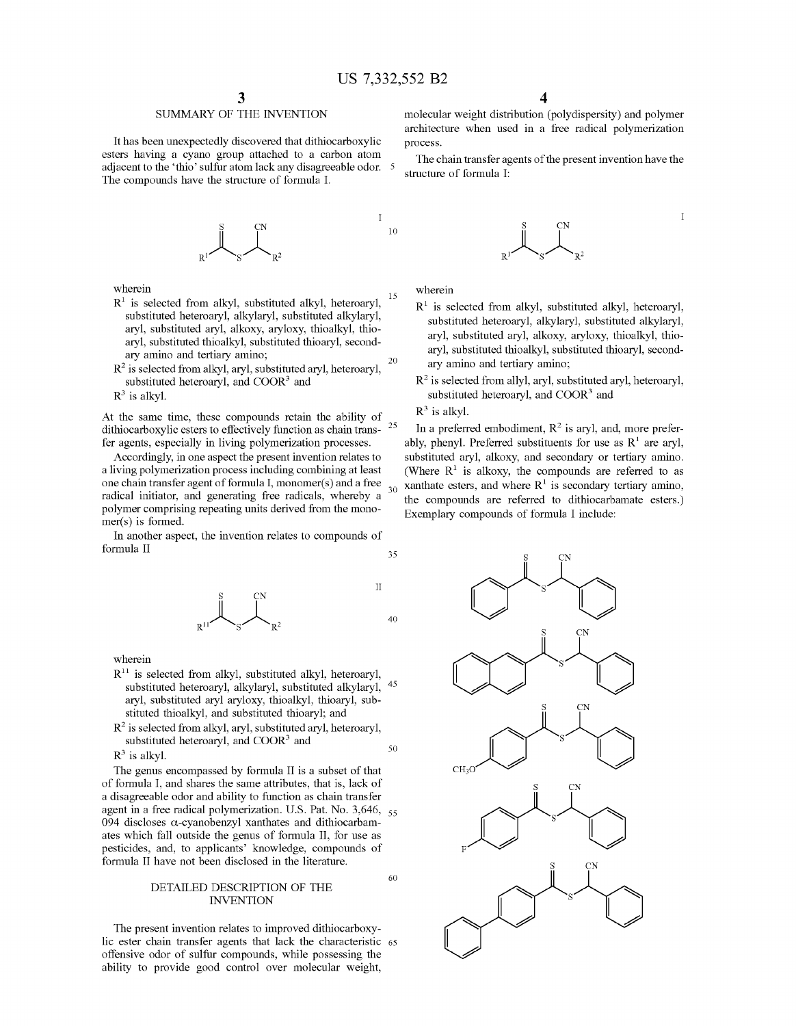$\mathbf{I}$  $10$ 

### SUMMARY OF THE INVENTION

It has been unexpectedly discovered that dithiocarboxylic esters having a cyano group attached to a carbon atom adjacent to the 'thio' sulfur atom lack any disagreeable odor. The compounds have the structure of formula I.



wherein

- 15  $R<sup>1</sup>$  is selected from alkyl, substituted alkyl, heteroaryl, substituted heteroaryl, alkylaryl, substituted alkylaryl, aryl, substituted aryl, alkoxy, aryloxy, thioalkyl, thio aryl, substituted thioalkyl, substituted thioaryl, second ary amino and tertiary amino; 20
- $R^2$  is selected from alkyl, aryl, substituted aryl, heteroaryl, substituted heteroaryl, and COOR<sup>3</sup> and

 $R^3$  is alkyl.

At the same time, these compounds retain the ability of dit-<br>isosphere the affectively function as choir time.  $25$ dithiocarboxylic esters to effectively function as chain trans fer agents, especially in living polymerization processes.

Accordingly, in one aspect the present invention relates to a living polymerization process including combining at least one chain transfer agent of formula I, monomer(s) and a free radical initiator, and generating free radicals, Whereby a polymer comprising repeating units derived from the mono mer(s) is formed. 30

In another aspect, the invention relates to compounds of formula II



wherein

- $R<sup>11</sup>$  is selected from alkyl, substituted alkyl, heteroaryl, substituted heteroaryl, alkylaryl, substituted alkylaryl, aryl, substituted aryl aryloxy, thioalkyl, thioaryl, sub stituted thioalkyl, and substituted thioaryl; and 45
- $R<sup>2</sup>$  is selected from alkyl, aryl, substituted aryl, heteroaryl, substituted heteroaryl, and COOR<sup>3</sup> and

 $R^3$  is alkyl.

The genus encompassed by formula II is a subset of that of formula I, and shares the same attributes, that is, lack of a disagreeable odor and ability to function as chain transfer agent in a free radical polymerization. U.S. Pat. No. 3,646, 55 094 discloses  $\alpha$ -cyanobenzyl xanthates and dithiocarbamates Which fall outside the genus of formula II, for use as pesticides, and, to applicants' knowledge, compounds of formula II have not been disclosed in the literature.

#### DETAILED DESCRIPTION OF THE INVENTION

The present invention relates to improved dithiocarboxy lic ester chain transfer agents that lack the characteristic 65 offensive odor of sulfur compounds, While possessing the ability to provide good control over molecular Weight,

molecular Weight distribution (polydispersity) and polymer architecture When used in a free radical polymerization process.

The chain transfer agents of the present invention have the structure of formula I:



wherein

- $R<sup>1</sup>$  is selected from alkyl, substituted alkyl, heteroaryl, substituted heteroaryl, alkylaryl, substituted alkylaryl, aryl, substituted aryl, alkoxy, aryloxy, thioalkyl, thio aryl, substituted thioalkyl, substituted thioaryl, second ary amino and tertiary amino;
- $R<sup>2</sup>$  is selected from allyl, aryl, substituted aryl, heteroaryl, substituted heteroaryl, and COOR<sup>3</sup> and

 $R^3$  is alkyl.

35

50

60

In a preferred embodiment,  $R^2$  is aryl, and, more preferably, phenyl. Preferred substituents for use as  $R<sup>1</sup>$  are aryl, substituted aryl, alkoxy, and secondary or tertiary amino. (Where  $R<sup>1</sup>$  is alkoxy, the compounds are referred to as xanthate esters, and where  $R<sup>1</sup>$  is secondary tertiary amino, the compounds are referred to dithiocarbamate esters.) Exemplary compounds of formula I include:



 $\overline{1}$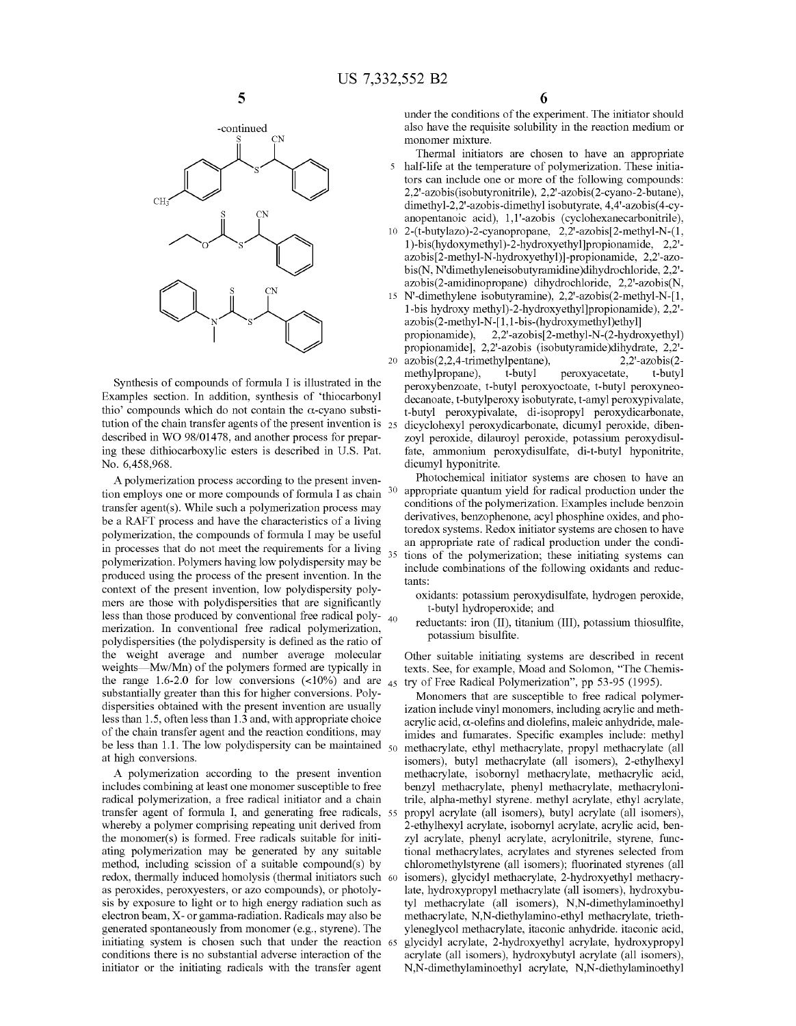

Synthesis of compounds of formula I is illustrated in the Examples section. In addition, synthesis of 'thiocarbonyl thio' compounds which do not contain the  $\alpha$ -cyano substitution of the chain transfer agents of the present invention is 25 described in WO 98/01478, and another process for prepar ing these dithiocarboxylic esters is described in U.S. Pat. No. 6,458,968.

A polymerization process according to the present inven tion employs one or more compounds of formula I as chain transfer agent(s). While such a polymerization process may be a RAFT process and have the characteristics of a living polymerization, the compounds of formula I may be useful in processes that do not meet the requirements for a living  $_{35}$ polymerization. Polymers having loW polydispersity may be produced using the process of the present invention. In the context of the present invention, loW polydispersity poly mers are those with polydispersities that are significantly less than those produced by conventional free radical poly- $_{40}$ merization. In conventional free radical polymerization, polydispersities (the polydispersity is defined as the ratio of the Weight average and number average molecular weights—Mw/Mn) of the polymers formed are typically in the range 1.6-2.0 for low conversions  $($ <10%) and are  $_{45}$ substantially greater than this for higher conversions. Poly dispersities obtained With the present invention are usually less than 1.5, often less than 1.3 and, With appropriate choice of the chain transfer agent and the reaction conditions, may be less than 1.1. The low polydispersity can be maintained  $_{50}$ at high conversions.

A polymerization according to the present invention includes combining at least one monomer susceptible to free radical polymerization, a free radical initiator and a chain transfer agent of formula I, and generating free radicals, 55 Whereby a polymer comprising repeating unit derived from the monomer(s) is formed. Free radicals suitable for initi ating polymerization may be generated by any suitable method, including scission of a suitable compound(s) by as peroxides, peroxyesters, or azo compounds), or photolysis by exposure to light or to high energy radiation such as electron beam, X- or gamma-radiation. Radicals may also be generated spontaneously from monomer (e. g., styrene). The initiating system is chosen such that under the reaction 65 conditions there is no substantial adverse interaction of the initiator or the initiating radicals With the transfer agent redox, thermally induced homolysis (thermal initiators such 60

6

under the conditions of the experiment. The initiator should also have the requisite solubility in the reaction medium or monomer mixture.

Thermal initiators are chosen to have an appropriate half-life at the temperature of polymerization. These initia tors can include one or more of the following compounds: 2,2'-azobis(isobutyronitrile), 2,2'-azobis(2-cyano-2-butane), dimethyl-2,2'-azobis-dimethyl isobutyrate, 4,4'-azobis(4-cy anopentanoic acid), 1,1'-azobis (cyclohexanecarbonitrile),

- 2-(t-butylazo)-2-cyanopropane, 2,2'-azobis[2-methyl-N-(1,  $10<sup>10</sup>$ 1)-bis(hydoxymethyl)-2-hydroxyethyl]propionamide, 2,2' azobis[2-methyl-N-hydroxyethyl)]-propionamide, 2,2'-azo bis(N, N'dimethyleneisobutyramidine)dihydrochloride, 2,2' azobis(2-amidinopropane) dihydrochloride, 2,2'-azobis(N,
- 15 N'-dimethylene isobutyramine), 2,2'-azobis(2-methyl-N-[1, 1-bis hydroxy methyl)-2-hydroxyethyl]propionamide), 2,2' azobis(2-methyl-N-[1, 1 -bis-(hydroxymethyl)ethyl]

20 azobis(2,2,4-trimethylpentane), 2,2'-azobis(2 propionamide), 2,2'-azobis[2-methyl-N-(2-hydroxyethyl) propionamide], 2,2'-azobis (isobutyramide)dihydrate, 2,2' methylpropane), t-butyl peroxyacetate, t-butyl peroxybenzoate, t-butyl peroxyoctoate, t-butyl peroxyneo decanoate, t-butylperoxy isobutyrate, t-amyl peroxypivalate, t-butyl peroxypivalate, di-isopropyl peroxydicarbonate, dicyclohexyl peroxydicarbonate, dicumyl peroxide, diben zoyl peroxide, dilauroyl peroxide, potassium peroxydisul fate, ammonium peroxydisulfate, di-t-butyl hyponitrite, dicumyl hyponitrite.

Photochemical initiator systems are chosen to have an appropriate quantum yield for radical production under the conditions of the polymerization. Examples include benzoin derivatives, benzophenone, acyl phosphine oxides, and pho toredox systems. Redox initiator systems are chosen to have an appropriate rate of radical production under the condi tions of the polymerization; these initiating systems can include combinations of the following oxidants and reductants:

oxidants: potassium peroxydisulfate, hydrogen peroxide, t-butyl hydroperoxide; and

reductants: iron (II), titanium (III), potassium thiosulfite, potassium bisulfite.

Other suitable initiating systems are described in recent texts. See, for example, Moad and Solomon, "The Chemis try of Free Radical Polymerization", pp 53-95 (1995).

Monomers that are susceptible to free radical polymer ization include vinyl monomers, including acrylic and meth acrylic acid,  $\alpha$ -olefins and diolefins, maleic anhydride, maleimides and fumarates. Specific examples include: methyl methacrylate, ethyl methacrylate, propyl methacrylate (all isomers), butyl methacrylate (all isomers), 2-ethylhexyl methacrylate, isobornyl methacrylate, methacrylic acid, benzyl methacrylate, phenyl methacrylate, methacryloni trile, alpha-methyl styrene. methyl acrylate, ethyl acrylate, propyl acrylate (all isomers), butyl acrylate (all isomers), 2-ethylhexyl acrylate, isobornyl acrylate, acrylic acid, ben zyl acrylate, phenyl acrylate, acrylonitrile, styrene, func tional methacrylates, acrylates and styrenes selected from chloromethylstyrene (all isomers); fluorinated styrenes (all isomers), glycidyl methacrylate, 2-hydroxyethyl methacry late, hydroxypropyl methacrylate (all isomers), hydroxybu tyl methacrylate (all isomers), N,N-dimethylaminoethyl methacrylate, N,N-diethylamino-ethyl methacrylate, trieth yleneglycol methacrylate, itaconic anhydride. itaconic acid, glycidyl acrylate, 2-hydroxyethyl acrylate, hydroxypropyl acrylate (all isomers), hydroxybutyl acrylate (all isomers), N,N-dimethylaminoethyl acrylate, N,N-diethylaminoethyl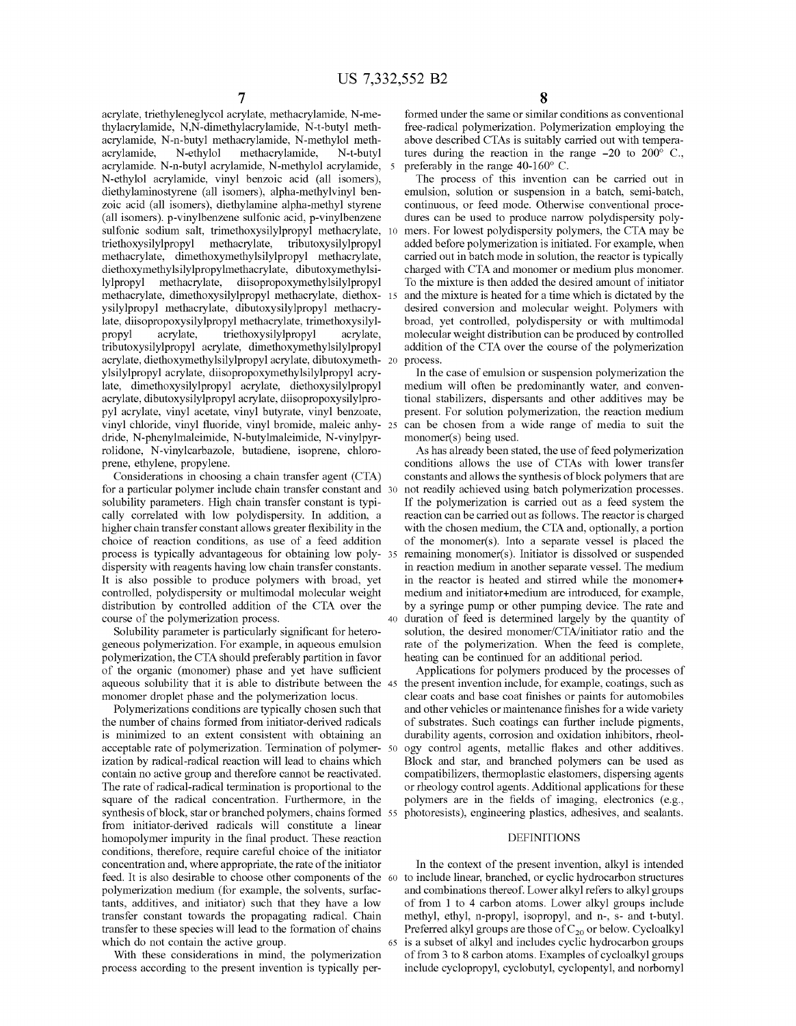acrylate, triethyleneglycol acrylate, methacrylamide, N-me thylacrylamide, N,N-dimethylacrylamide, N-t-butyl meth acrylamide, N-n-butyl methacrylamide, N-methylol meth acrylamide, N-ethylol methacrylamide, N-t-butyl acrylamide. N-n-butyl acrylamide, N-methylol acrylamide, N-ethylol acrylamide, vinyl benzoic acid (all isomers), diethylaminostyrene (all isomers), alpha-methylvinyl ben zoic acid (all isomers), diethylamine alpha-methyl styrene (all isomers). p-vinylbenzene sulfonic acid, p-vinylbenzene sulfonic sodium salt, trimethoxysilylpropyl methacrylate, 10 triethoxysilylpropyl methacrylate, tributoxysilylpropyl methacrylate, dimethoxymethylsilylpropyl methacrylate, diethoxymethylsilylpropylmethacrylate, dibutoxymethylsi lylpropyl methacrylate, diisopropoxymethylsilylpropyl methacrylate, dimethoxysilylpropyl methacrylate, diethox ysilylpropyl methacrylate, dibutoxysilylpropyl methacry late, diisopropoxysilylpropyl methacrylate, trimethoxysilyl propyl acrylate, triethoxysilylpropyl acrylate, tributoxysilylpropyl acrylate, dimethoxymethylsilylpropyl acrylate, diethoxymethylsilylpropyl acrylate, dibutoxymeth 20 ylsilylpropyl acrylate, diisopropoxymethylsilylpropyl acry late, dimethoxysilylpropyl acrylate, diethoxysilylpropyl acrylate, dibutoxysilylpropyl acrylate, diisopropoxysilylpro pyl acrylate, vinyl acetate, vinyl butyrate, vinyl benzoate, vinyl chloride, vinyl fluoride, vinyl bromide, maleic anhy - 25 dride, N-phenylmaleimide, N-butylmaleimide, N-vinylpyr rolidone, N-vinylcarbazole, butadiene, isoprene, chloro prene, ethylene, propylene.

Considerations in choosing a chain transfer agent (CTA) for a particular polymer include chain transfer constant and 30 solubility parameters. High chain transfer constant is typi cally correlated with low polydispersity. In addition, a higher chain transfer constant allows greater flexibility in the choice of reaction conditions, as use of a feed addition process is typically advantageous for obtaining low poly- 35 dispersity With reagents having loW chain transfer constants. It is also possible to produce polymers With broad, yet controlled, polydispersity or multimodal molecular Weight distribution by controlled addition of the CTA over the course of the polymerization process.

Solubility parameter is particularly significant for heterogeneous polymerization. For example, in aqueous emulsion polymerization, the CTA should preferably partition in favor of the organic (monomer) phase and yet have sufficient monomer droplet phase and the polymerization locus.

Polymerizations conditions are typically chosen such that the number of chains formed from initiator-derived radicals is minimized to an extent consistent With obtaining an acceptable rate of polymerization. Termination of polymer- 50 ization by radical-radical reaction Will lead to chains Which contain no active group and therefore cannot be reactivated. The rate of radical-radical termination is proportional to the square of the radical concentration. Furthermore, in the synthesis of block, star or branched polymers, chains formed 55 photoresists), engineering plastics, adhesives, and sealants. from initiator-derived radicals Will constitute a linear homopolymer impurity in the final product. These reaction conditions, therefore, require careful choice of the initiator concentration and, Where appropriate, the rate of the initiator feed. It is also desirable to choose other components of the 60 to include linear, branched, or cyclic hydrocarbon structures polymerization medium (for example, the solvents, surfac tants, additives, and initiator) such that they have a low transfer constant toWards the propagating radical. Chain transfer to these species Will lead to the formation of chains Which do not contain the active group. 65

With these considerations in mind, the polymerization process according to the present invention is typically per

formed under the same or similar conditions as conventional free-radical polymerization. Polymerization employing the above described CTAs is suitably carried out With tempera tures during the reaction in the range  $-20$  to  $200^{\circ}$  C., preferably in the range  $40-160^{\circ}$  C.

The process of this invention can be carried out in emulsion, solution or suspension in a batch, semi-batch, continuous, or feed mode. Otherwise conventional proce dures can be used to produce narrow polydispersity polymers. For lowest polydispersity polymers, the CTA may be added before polymerization is initiated. For example, When carried out in batch mode in solution, the reactor is typically charged With CTA and monomer or medium plus monomer. To the mixture is then added the desired amount of initiator and the mixture is heated for a time Which is dictated by the desired conversion and molecular Weight. Polymers With broad, yet controlled, polydispersity or With multimodal molecular Weight distribution can be produced by controlled addition of the CTA over the course of the polymerization process.

In the case of emulsion or suspension polymerization the medium Will often be predominantly Water, and conven tional stabilizers, dispersants and other additives may be present. For solution polymerization, the reaction medium can be chosen from a Wide range of media to suit the monomer(s) being used.

40 duration of feed is determined largely by the quantity of As has already been stated, the use of feed polymerization conditions alloWs the use of CTAs With loWer transfer constants and alloWs the synthesis of block polymers that are not readily achieved using batch polymerization processes. If the polymerization is carried out as a feed system the reaction can be carried out as follows. The reactor is charged with the chosen medium, the CTA and, optionally, a portion of the monomer(s). Into a separate vessel is placed the remaining monomer(s). Initiator is dissolved or suspended in reaction medium in another separate vessel. The medium in the reactor is heated and stirred While the monomer+ medium and initiator+medium are introduced, for example, by a syringe pump or other pumping device. The rate and solution, the desired monomer/CTA/initiator ratio and the rate of the polymerization. When the feed is complete, heating can be continued for an additional period.

aqueous solubility that it is able to distribute between the 45 the present invention include, for example, coatings, such as Applications for polymers produced by the processes of clear coats and base coat finishes or paints for automobiles and other vehicles or maintenance finishes for a wide variety of substrates. Such coatings can further include pigments, durability agents, corrosion and oxidation inhibitors, rheol ogy control agents, metallic flakes and other additives. Block and star, and branched polymers can be used as compatibilizers, thermoplastic elastomers, dispersing agents or rheology control agents. Additional applications for these polymers are in the fields of imaging, electronics (e.g.,

#### DEFINITIONS

In the context of the present invention, alkyl is intended and combinations thereof. LoWer alkyl refers to alkyl groups of from 1 to 4 carbon atoms. LoWer alkyl groups include methyl, ethyl, n-propyl, isopropyl, and n-, s- and t-butyl. Preferred alkyl groups are those of  $C_{20}$  or below. Cycloalkyl is a subset of alkyl and includes cyclic hydrocarbon groups of from 3 to 8 carbon atoms. Examples of cycloalkyl groups include cyclopropyl, cyclobutyl, cyclopentyl, and norbomyl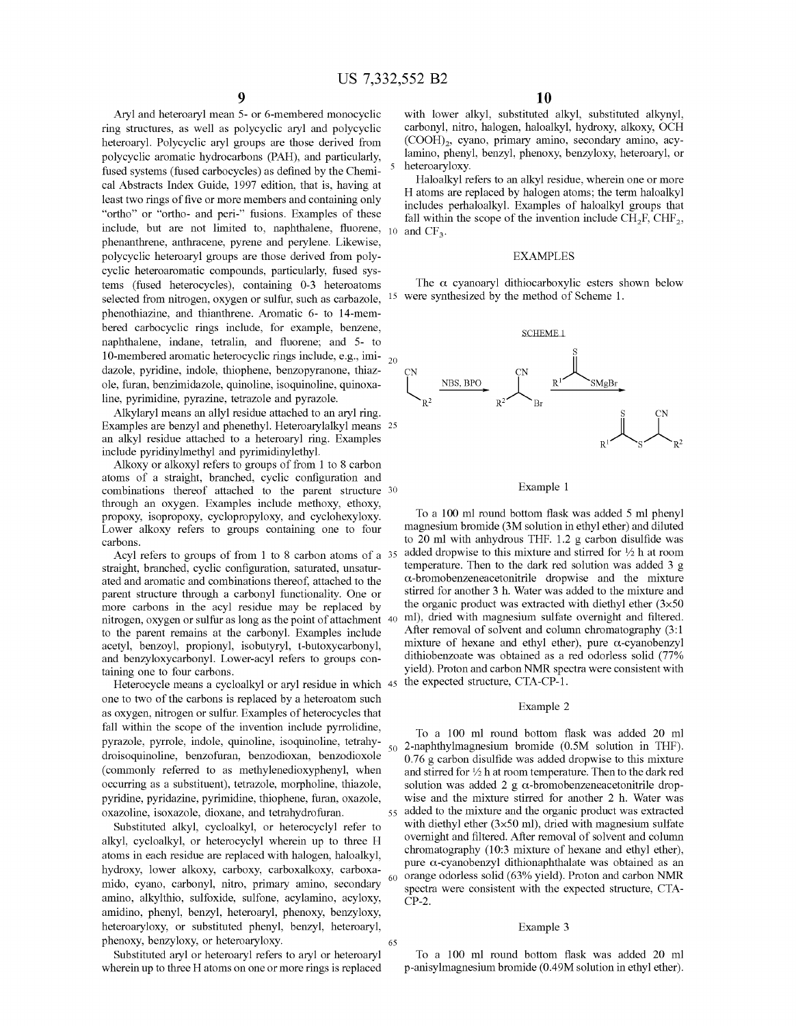Aryl and heteroaryl mean 5- or 6-membered monocyclic ring structures, as Well as polycyclic aryl and polycyclic heteroaryl. Polycyclic aryl groups are those derived from polycyclic aromatic hydrocarbons (PAH), and particularly, fused systems (fused carbocycles) as defined by the Chemical Abstracts Index Guide, 1997 edition, that is, having at least two rings of five or more members and containing only "ortho" or "ortho- and peri-" fusions. Examples of these include, but are not limited to, naphthalene, fluorene, phenanthrene, anthracene, pyrene and perylene. Likewise, polycyclic heteroaryl groups are those derived from poly cyclic heteroaromatic compounds, particularly, fused sys tems (fused heterocycles), containing 0-3 heteroatoms selected from nitrogen, oxygen or sulfur, such as carbazole, phenothiaZine, and thianthrene. Aromatic 6- to 14-mem bered carbocyclic rings include, for example, benzene, naphthalene, indane, tetralin, and fluorene; and 5- to 10-membered aromatic heterocyclic rings include, e.g., imi- $_{20}$ dazole, pyridine, indole, thiophene, benzopyranone, thiazole, furan, benzimidazole, quinoline, isoquinoline, quinoxaline, pyrimidine, pyrazine, tetrazole and pyrazole.

Alkylaryl means an allyl residue attached to an aryl ring. Examples are benZyl and phenethyl. Heteroarylalkyl means 25 an alkyl residue attached to a heteroaryl ring. Examples include pyridinylmethyl and pyrimidinylethyl.

Alkoxy or alkoxyl refers to groups of from 1 to 8 carbon atoms of a straight, branched, cyclic configuration and combinations thereof attached to the parent structure 30 through an oxygen. Examples include methoxy, ethoxy, propoxy, isopropoxy, cyclopropyloxy, and cyclohexyloxy. LoWer alkoxy refers to groups containing one to four carbons.

Acyl refers to groups of from 1 to 8 carbon atoms of a 35 straight, branched, cyclic configuration, saturated, unsaturated and aromatic and combinations thereof, attached to the parent structure through a carbonyl functionality. One or more carbons in the acyl residue may be replaced by nitrogen, oxygen or sulfur as long as the point of attachment 40 to the parent remains at the carbonyl. Examples include acetyl, benzoyl, propionyl, isobutyryl, t-butoxycarbonyl, and benzyloxycarbonyl. Lower-acyl refers to groups containing one to four carbons.

Heterocycle means a cycloalkyl or aryl residue in Which one to tWo of the carbons is replaced by a heteroatom such as oxygen, nitrogen or sulfur. Examples of heterocycles that fall Within the scope of the invention include pyrrolidine, pyraZole, pyrrole, indole, quinoline, isoquinoline, tetrahy droisoquinoline, benzofuran, benzodioxan, benzodioxole (commonly referred to as methylenedioxyphenyl, When occurring as a substituent), tetraZole, morpholine, thiaZole, pyridine, pyridazine, pyrimidine, thiophene, furan, oxazole, oxaZoline, isoxaZole, dioxane, and tetrahydrofuran. 45

Substituted alkyl, cycloalkyl, or heterocyclyl refer to alkyl, cycloalkyl, or heterocyclyl Wherein up to three H atoms in each residue are replaced With halogen, haloalkyl, hydroxy, lower alkoxy, carboxy, carboxalkoxy, carboxamido, cyano, carbonyl, nitro, primary amino, secondary amino, alkylthio, sulfoxide, sulfone, acylamino, acyloxy, amidino, phenyl, benzyl, heteroaryl, phenoxy, benzyloxy, heteroaryloxy, or substituted phenyl, benzyl, heteroaryl, phenoxy, benzyloxy, or heteroaryloxy.

Substituted aryl or heteroaryl refers to aryl or heteroaryl Wherein up to three H atoms on one or more rings is replaced

65

with lower alkyl, substituted alkyl, substituted alkynyl, carbonyl, nitro, halogen, haloalkyl, hydroxy, alkoxy, OCH  $(COOH)_{2}$ , cyano, primary amino, secondary amino, acylamino, phenyl, benZyl, phenoxy, benZyloxy, heteroaryl, or heteroaryloxy.

Haloalkyl refers to an alkyl residue, Wherein one or more H atoms are replaced by halogen atoms; the term haloalkyl includes perhaloalkyl. Examples of haloalkyl groups that fall within the scope of the invention include  $CH_2F$ ,  $CHF_2$ , and  $CF_3$ .

#### EXAMPLES

The  $\alpha$  cyanoaryl dithiocarboxylic esters shown below 15 were synthesized by the method of Scheme 1.



#### Example 1

To a 100 ml round bottom flask was added 5 ml phenyl magnesium bromide (3M solution in ethyl ether) and diluted to  $20$  ml with anhydrous THF. 1.2 g carbon disulfide was added dropwise to this mixture and stirred for  $\frac{1}{2}$  h at room temperature. Then to the dark red solution Was added 3 g  $\alpha$ -bromobenzeneacetonitrile dropwise and the mixture stirred for another 3 h. Water Was added to the mixture and the organic product was extracted with diethyl ether  $(3 \times 50)$ ml), dried with magnesium sulfate overnight and filtered. After removal of solvent and column chromatography (3:1 mixture of hexane and ethyl ether), pure  $\alpha$ -cyanobenzyl dithiobenzoate was obtained as a red odorless solid (77%) yield). Proton and carbon NMR spectra were consistent with the expected structure, CTA-CP-l.

#### Example 2

50 55 added to the mixture and the organic product Was extracted 60 To a 100 ml round bottom flask was added 20 ml 2-naphthylmagnesium bromide (0.5M solution in THF). 0.76 g carbon disulfide was added dropwise to this mixture and stirred for  $\frac{1}{2}$  h at room temperature. Then to the dark red solution was added 2 g  $\alpha$ -bromobenzeneacetonitrile drop-Wise and the mixture stirred for another 2 h. Water Was with diethyl ether  $(3\times50 \text{ ml})$ , dried with magnesium sulfate overnight and filtered. After removal of solvent and column chromatography (10:3 mixture of hexane and ethyl ether), pure  $\alpha$ -cyanobenzyl dithionaphthalate was obtained as an orange odorless solid (63% yield). Proton and carbon NMR spectra Were consistent With the expected structure, CTA CP-2.

#### Example 3

To a 100 ml round bottom flask was added 20 ml p-anisylmagnesium bromide (0.49M solution in ethyl ether).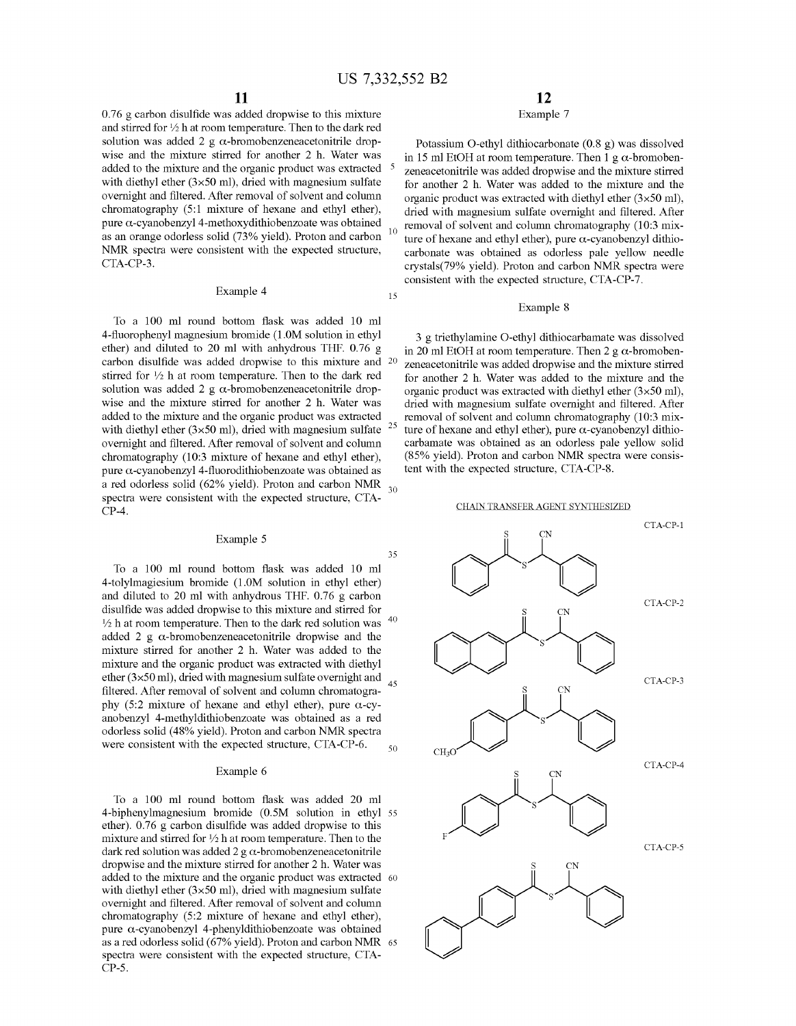35

0.76 g carbon disulfide was added dropwise to this mixture and stirred for  $\frac{1}{2}$  h at room temperature. Then to the dark red solution was added 2  $g \alpha$ -bromobenzeneacetonitrile dropwise and the mixture stirred for another 2 h. Water was added to the mixture and the organic product was extracted with diethyl ether  $(3\times50 \text{ ml})$ , dried with magnesium sulfate overnight and filtered. After removal of solvent and column chromatography (5:1 mixture of hexane and ethyl ether), pure  $\alpha$ -cyanobenzyl 4-methoxydithiobenzoate was obtained as an orange odorless solid (73% yield). Proton and carbon NMR spectra were consistent with the expected structure, CTA-CP-3.

#### Example 4

To a 100 ml round bottom flask was added 10 ml 4-fluorophenyl magnesium bromide (1.0M solution in ethyl ether) and diluted to 20 ml with anhydrous THF. 0.76 g carbon disulfide was added dropwise to this mixture and 20 stirred for  $\frac{1}{2}$  h at room temperature. Then to the dark red solution was added 2 g  $\alpha$ -bromobenzeneacetonitrile dropwise and the mixture stirred for another 2 h. Water was added to the mixture and the organic product was extracted 25 with diethyl ether  $(3\times50 \text{ ml})$ , dried with magnesium sulfate overnight and filtered. After removal of solvent and column chromatography (10:3 mixture of hexane and ethyl ether), pure  $\alpha$ -cyanobenzyl 4-fluorodithiobenzoate was obtained as a red odorless solid (62% yield). Proton and carbon NMR  $_{30}$ spectra were consistent with the expected structure, CTA- $CP-4$ .

#### Example 5

To a 100 ml round bottom flask was added 10 ml 4-tolylmagiesium bromide (1.0M solution in ethyl ether) and diluted to 20 ml with anhydrous THF. 0.76 g carbon disulfide was added dropwise to this mixture and stirred for 40  $\frac{1}{2}$  h at room temperature. Then to the dark red solution was added 2  $g \alpha$ -bromobenzeneacetonitrile dropwise and the mixture stirred for another 2 h. Water was added to the mixture and the organic product was extracted with diethyl ether  $(3\times50 \text{ ml})$ , dried with magnesium sulfate overnight and 45 filtered. After removal of solvent and column chromatography (5:2 mixture of hexane and ethyl ether), pure  $\alpha$ -cyanobenzyl 4-methyldithiobenzoate was obtained as a red odorless solid (48% yield). Proton and carbon NMR spectra were consistent with the expected structure, CTA-CP-6. 50

#### Example 6

To a 100 ml round bottom flask was added 20 ml 4-biphenylmagnesium bromide (0.5M solution in ethyl 55 ether). 0.76 g carbon disulfide was added dropwise to this mixture and stirred for  $\frac{1}{2}$  h at room temperature. Then to the dark red solution was added 2 g  $\alpha$ -bromobenzeneacetonitrile dropwise and the mixture stirred for another 2 h. Water was added to the mixture and the organic product was extracted 60 with diethyl ether  $(3\times50$  ml), dried with magnesium sulfate overnight and filtered. After removal of solvent and column chromatography (5:2 mixture of hexane and ethyl ether), pure  $\alpha$ -cyanobenzyl 4-phenyldithiobenzoate was obtained as a red odorless solid (67% yield). Proton and carbon NMR 65 spectra were consistent with the expected structure, CTA- $CP-5.$ 

# 12

### Example 7

Potassium O-ethyl dithiocarbonate (0.8 g) was dissolved in 15 ml EtOH at room temperature. Then 1 g  $\alpha$ -bromobenzeneacetonitrile was added dropwise and the mixture stirred for another 2 h. Water was added to the mixture and the organic product was extracted with diethyl ether  $(3\times50 \text{ ml})$ , dried with magnesium sulfate overnight and filtered. After removal of solvent and column chromatography (10:3 mixture of hexane and ethyl ether), pure  $\alpha$ -cyanobenzyl dithiocarbonate was obtained as odorless pale yellow needle crystals(79% yield). Proton and carbon NMR spectra were consistent with the expected structure, CTA-CP-7.

#### Example 8

3 g triethylamine O-ethyl dithiocarbamate was dissolved in 20 ml EtOH at room temperature. Then 2 g  $\alpha$ -bromobenzeneacetonitrile was added dropwise and the mixture stirred for another 2 h. Water was added to the mixture and the organic product was extracted with diethyl ether  $(3\times50 \text{ ml})$ , dried with magnesium sulfate overnight and filtered. After removal of solvent and column chromatography (10:3 mixture of hexane and ethyl ether), pure  $\alpha$ -cyanobenzyl dithiocarbamate was obtained as an odorless pale yellow solid (85% yield). Proton and carbon NMR spectra were consistent with the expected structure, CTA-CP-8.

#### CHAIN TRANSFER AGENT SYNTHESIZED

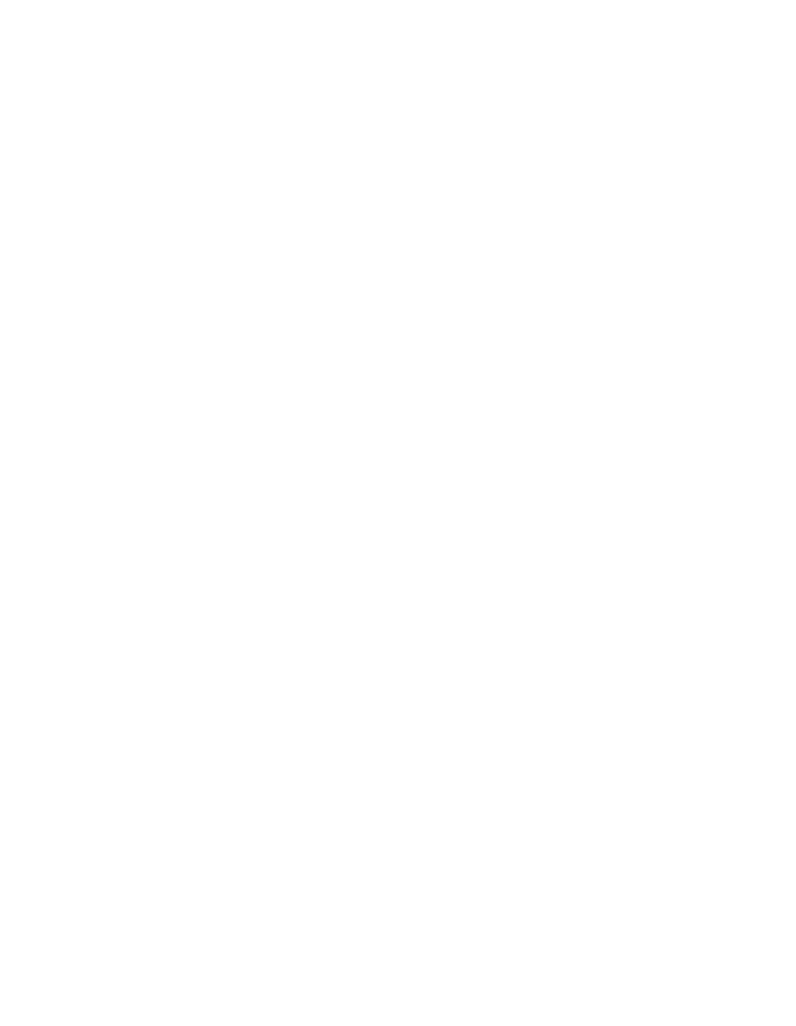

#### Example 9

Preparation of low polydispersity poly(methyl methlacrylate) using  $\alpha$ -cyanobenzyl dithliobenzoate

A stock solution (I) of AIBN 16.5 mg in benzene (10 ml) and a stock solution (II) of  $\alpha$ -cyanobenzyl dithiobenzoate 0.38 g in benzene (5 ml) were prepared. Aliquots of stock solution (I) (70  $\mu$ l) and stock solution (II) (50  $\mu$ l) were added to Schlenk tubes containing methyl methacrylate  $(0.7 \text{ g})$  and 0.3 ml benzene. The tubes were degassed by 3 consecutive freeze-pump-thaw cycles and heated at  $60^{\circ}$  C. for the times shown in Table 1 below.

TABLE 1

| Entry | Time/hr | Conv $%$ | $Mn$ (theo) | Mn(GPC) | PDI  |    |
|-------|---------|----------|-------------|---------|------|----|
|       | 4       | 3.5      | 1750        | 3019    | 1.24 |    |
| 2     | 8       | 25       | 12500       | 13550   | 1.11 | 45 |
| 3     | 12      | 41       | 20500       | 24625   | 1.05 |    |
| 4     | 18      | 66       | 33000       | 31699   | 1.05 |    |
|       | 24      | 91       | 45500       | 45332   | 1.07 |    |
|       |         |          |             |         |      |    |

Excellent agreement between predicted and measured molecular weights and low polydispersities were found when the GPC was calibrated with polymethylmethacrylate standards.

#### Example 10

### Preparation of low polydispersity polystyrene via bulk polymerization using  $\alpha$ -cyanobenzyl dithiobenzoate

Aliquots of stock solution  $(II)$  (50  $\mu$ l) prepared above were added to Schlenk tubes containing styrene  $(0.7 \text{ g})$ . The tubes were degassed by 3 consecutive freeze-pump-thaw  $65$ cycles and heated at 110° C. for the times shown in Table 2 below.

TABLE 2

|        |    | Entry          |         |        |             |         |      |  |
|--------|----|----------------|---------|--------|-------------|---------|------|--|
| A-CP-6 |    |                | Time/hr | Conv % | $Mn$ (theo) | Mn(GPC) | PDI  |  |
|        | 5  |                | 6       | 15.1   | 7946        | 7989    | 1.06 |  |
|        |    | $\overline{2}$ | 15      | 35.5   | 18028       | 18368   | 1.16 |  |
|        |    | 3              | 22      | 44     | 22280       | 23275   | 1.16 |  |
|        |    | 4              | 29      | 52.5   | 26775       | 27976   | 1.18 |  |
| A-CP-7 | 10 | 5              | 40      | 61.6   | 31058       | 31479   | 1.13 |  |

Excellent agreement between predicted and measured molecular weights and low polydispersities were found 15 when the GPC was calibrated with polystyrene standards.

CTA-CP-8

40

50

55

6

# Example 11



Aliquots of stock solution  $(II)$  (50  $\mu$ l) and stock solution (I) prepared above were added to Schlenk tubes containing 25 n-butyl acrylate  $(0.6 \text{ g})$  and 0.2 ml benzene. The tubes were degassed by 3 consecutive freeze-pump-thaw cycles and heated at 60° C. for 29 hours shown in Table 3 below.

**TABLE 3** 

| 30 |       |                         |          |             |         |      |  |  |  |
|----|-------|-------------------------|----------|-------------|---------|------|--|--|--|
|    | Entry | $V_{\rm A\,IRN}(\mu l)$ | Conv $%$ | $Mn$ (theo) | Mn(GPC) | PDI  |  |  |  |
|    |       | 13                      | 6.1      | 2103        | 2001    | 1.12 |  |  |  |
|    |       | 17                      | 7.8      | 2689        | 3994    | 1.09 |  |  |  |
|    | 3     | 20                      | 9.5      | 3275        | 4313    | 1.08 |  |  |  |
| 35 | 4     | 23                      | 35.3     | 12171       | 16680   | 1.09 |  |  |  |
|    |       | 30                      | 48.8     | 16826       | 20982   | 1.07 |  |  |  |
|    |       |                         |          |             |         |      |  |  |  |

#### Example 12

### Preparation of low polydispersity polymethylmethacrylate using  $\alpha$ -cyanobenzyl 4-methoxydithiobenzoate

A stock solution (I) of AIBN 16.5 mg in benzene (10 ml) and a stock solution (III) of  $\alpha$ -cyanobenzyl 4-methoxydithiobenzoate 0.42 g in benzene (5 ml) were prepared. Aliquots of stock solution  $(I)$  (70  $\mu$ l) and stock solution (III)  $(50 \text{ µ})$  were added to Schlenk tubes containing methyl methacrylate  $(0.7 \text{ g})$  and 0.3 ml benzene. The tubes were degassed by 3 consecutive freeze-pump-thaw cycles and heated at 60° C. for the times shown in Table 4 below.

**TABLE 4** 

| Entry | Time/hr  | Conv $%$       | $Mn$ (theo)            | Mn(GPC)                 | PDI                  |  |
|-------|----------|----------------|------------------------|-------------------------|----------------------|--|
| ٩     | 13<br>18 | 19<br>41<br>66 | 9760<br>22384<br>33377 | 11199<br>23666<br>31612 | 1.12<br>1.07<br>1.05 |  |

Excellent agreement between predicted and measured molecular weights and low polydispersities were found when the GPC was calibrated with polymethylmethacrylate standards.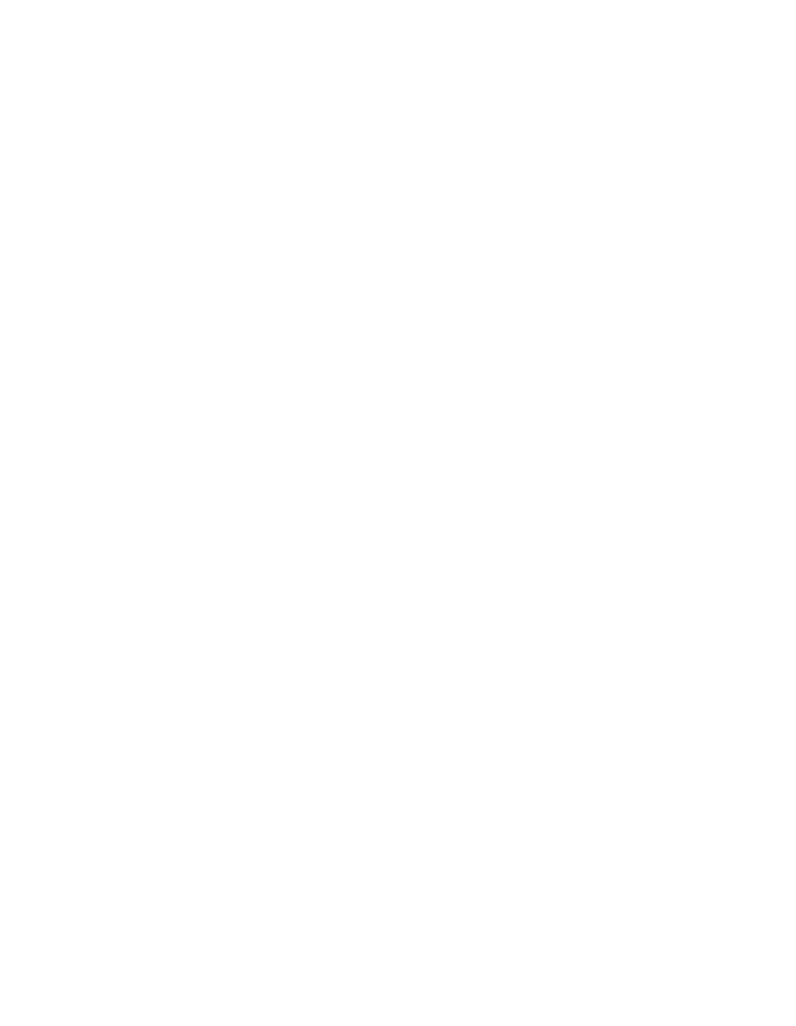$\overline{\mathbf{S}}$ 

 $10$ 

15

25

 $30$ 

 $40$ 

60

### Example 13

#### Preparation of low polydispersity polystyrene via bulk polymerization using  $\alpha$ -cyanobenzyl 4-methoxydithiobenzoate

A stock solution (IV) of  $\alpha$ -cyanobenzyl 4-methoxydithiobenzoate  $0.3$  g in benzene  $(5 \text{ ml})$  was prepared. Aliquots of stock solution (IV) were added to Schlenk tubes containing styrene. The tubes were degassed by 3 consecutive freeze-pump-thaw cycles and heated at 110° C. for the times shown in Table 5 below.

TABLE 5

| Entry | $(\mu l)$ | $V_{CTA}$ styrene/<br>$\mathbf{g}$ | Temp.      | Time/ Conv | $hr$ %   | Mn                   | Mn<br>(Theo) (GPC) PDI |      | - 12 |
|-------|-----------|------------------------------------|------------|------------|----------|----------------------|------------------------|------|------|
|       | -70<br>87 | 0.734<br>0.6                       | 110<br>100 | 27<br>48   | 51<br>63 | 26737 28310<br>21723 | 25522 1.07             | 1.04 | 20   |

Excellent agreement between predicted and measured molecular weights and low polydispersities were found when the GPC was calibrated with polystyrene standards.

#### Example 14

#### Preparation of low polydispersity poly (n-butyl  $acry$ late) using  $\alpha$ -cyanobenzyl 4-methoxydithiobenzoate

Aliquots of stock solution  $(I)$  (25  $\mu$ l) and stock solution (IV) (87 µl) prepared in example 13 were added to a Schlenk tube containing n-butyl acrylate  $(0.6 g)$  and  $0.2 ml$  benzene. The tube was degassed by 3 consecutive freeze-pump-thaw cycles and heated at 80° C. for 29 hours. Poly(n-butyl acrylate) was obtained (65 conv %; Mn=29193; PDI=1.06).

#### Example 15

#### Preparation of low polydispersity poly(methyl methacrylate) using  $\alpha$ -cyanobenzyl dithionaphthalate

A stock solution (I) of AIBN 16.5 mg in benzene (10 ml) was made and aliquots of stock solution (I)  $(50 \mu l)$  and 3.2 mg  $\alpha$ -cyanobenzyl dithionaphthalate were added to a Schlenk tube containing methyl methacrylate  $(0.5 \text{ g})$  and  $0.3$ ml benzene. The tube was degassed by 3 consecutive  $_{50}$ freeze-pump-thaw cycles and heated at 60° C. for 23 h. Poly(methyl methacrylate) was obtained (conv=58%, Mn(Theo)=29000, Mn(GPC)=24558, PDI=1.04).

#### Example 16

#### Preparation of low polydispersity polystyrene via bulk polymerization using  $\alpha$ -cyanobenzyl dithionaphthalate

A stock solution (V)  $\alpha$ -cyanobenzyl dithionaphthalate  $0.328$  g in benzene  $(5 \text{ ml})$  was prepared. Aliquots of stock solution  $(V)$  (87 µl) were added to a Schlenk tube containing styrene  $(0.6 \text{ g})$ . The tube was degassed by 3 consecutive freeze-pump-thaw cycles and heated at 100° C. for 48 h. 65 Polystyrene was obtained (conv=61%, Mn(Theo)=21002, Mn(GPC)=21476, PDI=1.07).

### Example 17

Preparation of low polydispersity poly(n-butyl  $acry$ late) using  $\alpha$ -cyanobenzyl dithionaphthalate

Aliquots of stock solution  $(I)$  (50  $\mu$ l) and stock solution (V)  $(87 \text{ µ})$  prepared above were added to a Schlenk tube containing n-butyl acrylate  $(0.6 \text{ g})$  and  $0.2 \text{ ml}$  benzene. The tube was degassed by 3 consecutive freeze-pump-thaw cycles and heated at 80° C. for 23 h. Poly(n-butyl acrylate) was obtained (conv=42%, Mn=21728, PDI=1.06).

#### Example 18

#### Preparation of low polydispersity poly(n-butyl acrylate) using  $\alpha$ -cyanobenzyl 4-phenyldithiobenzoate

A stock solution (I) of AIBN 16.5 mg in benzene (10 ml) and a stock solution (VI) of  $\alpha$ -cyanobenzyl 4-phenyldithiobenzoate  $0.2$  g in benzene  $(5 \text{ ml})$  were prepared. Aliquots of stock solution (I)  $(25 \mu l)$  and stock solution (VI) (153 µl) were added to a Schlenk tube containing n-butyl acrylate (0.6 g) and 0.2 ml benzene. The tube was degassed by 3 consecutive freeze-pump-thaw cycles and heated at 60° C. for 29 h. Poly(n-butyl acrylate) was obtained (conv= $32\%$ , Mn=14052, PDI=1.04).

#### Example 19

#### Preparation of low polydispersity polystyrene via bulk polymerization usizg  $\alpha$ -cyanobenzyl 4-phenyldithiobenzoate

Stock solution (VI) prepared above (153 µl) was added to 35 a Schlenk tube containing styrene (0.6 g). The tube was degassed by 3 consecutive freeze-pump-thaw cycles and heated at 100° C. for 48 h. Polystyrene was obtained  $\frac{}{\text{(conv=56\%}}$ Mn(Theo)=20084, Mn(GPC)=20724,  $PDI=1.06$ ).

#### Example 20

#### Preparation of low polydispersity poly(n-butyl  $acry$ late) using  $\alpha$ -cyanobenzyl 4-fluorodithiobenzoate

A stock solution (I) of AIBN 16.5 mg in benzene (10 ml) and a stock solution (VII) of  $\alpha$ -cyanobenzyl 4-fluorodithiobenzoate 0.72 g in benzene (10 ml) were prepared. Aliquots of stock solution  $(I)$  (25  $\mu$ l) and stock solution (VII) (71 µl) were added to a Schlenk tube containing n-butyl acrylate  $(0.6 \text{ g})$  and  $0.2 \text{ ml}$  benzene. The tube was degassed by 3 consecutive freeze-pump-thaw cycles and heated at 60° C. for 29 h. Poly(n-butyl acrylate) was obtained (conv=45%, Mn=24073, PDI=1.07).

#### Example 21

#### Preparation of low polydispersity polystyrene via bulk polymerization using  $\alpha$ -cyanobenzyl 4-fluorodithiobenzoate

The stock solution (VII)  $(71 \text{ µl})$  prepared above was added to a Schlenk tube containing styrene  $(0.6 \text{ g})$ . The tube was degassed by 3 consecutive freeze-pump-thaw cycles and heated at 100° C. for 48 h. Polystyrene was obtained  $(conv=61\%,$ Mn(Theo)=21002, Mn(GPC)=21476,  $PDI=1.07$ ).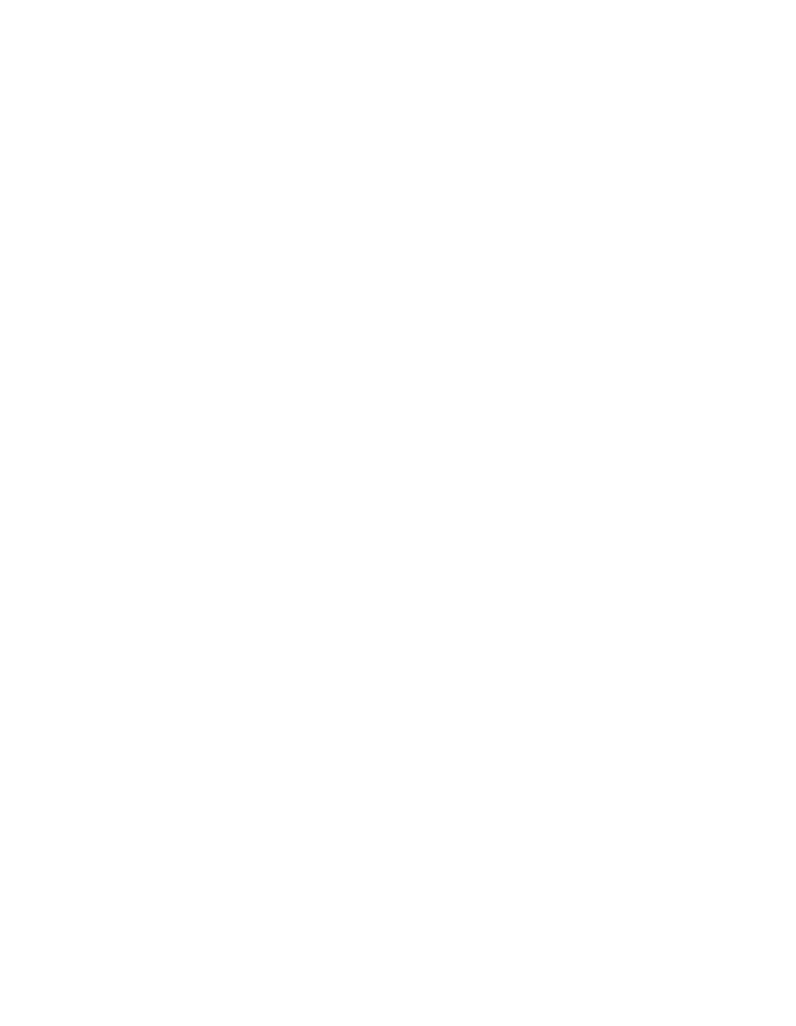$10$ 

 $30$ 

 $\mathbf{I}$ 

The invention claimed is:

1. A polymerization process comprising

a. combining:

at least one chain transfer agent of formula I,



at least one monomer susceptible to free radical polymerization, and 15

a free radical initiator, and;

b. generating free radicals;

wherein

 $R<sup>1</sup>$  is selected from aryl, substituted aryl, alkoxy, and <sup>20</sup> tertiary amino; and

 $R^2$  is aryl

whereby a polymer, comprising repeating units derived from said at least one monomer, is formed. 25

2. A polymerization process according to claim 1, wherein  $R^1$  is aryl.

3. A polymerization process according to claim 1, wherein  $R<sup>1</sup>$  is substituted aryl.

4. A polymerization process according to claim 1, wherein  $R^1$  is alkoxy.

5. A polymerization process according to claim 1, wherein  $R<sup>1</sup>$  is tertiary amino.

6. A polymerization process according to claim 1, wherein  $R^2$  is phenyl.

7. A polymerization process according to claim 1, wherein the at least one chain transfer agent is selected from the  $40$ group consisting of





8. A polymerization process according to claim 1, wherein said at least one monomer is selected from the group consisting of vinyl monomers, acrylic and methacrylic acid, acrylate and methacrylate esters, styrene, fumarates, maleic 35 anhydride, maleimides, and mixtures thereof.

9. A compound of formula II



 $\rm II$ 

wherein

45

50

 $R^{11}$  is aryl or substituted aryl; and

 $R^2$  is aryl.

10. A compound according to claim 9, wherein  $R^{11}$  is aryl.

11. A compound according to claim 9, wherein  $R^{11}$  is substituted aryl.

12. A compound according to claim 9, wherein  $R^{11}$  is phenyl.

55 13. A compound according to claim 9, wherein  $R^2$  is phenyl.

14. A compound according to claim 9, selected from the group consisting of

60

65